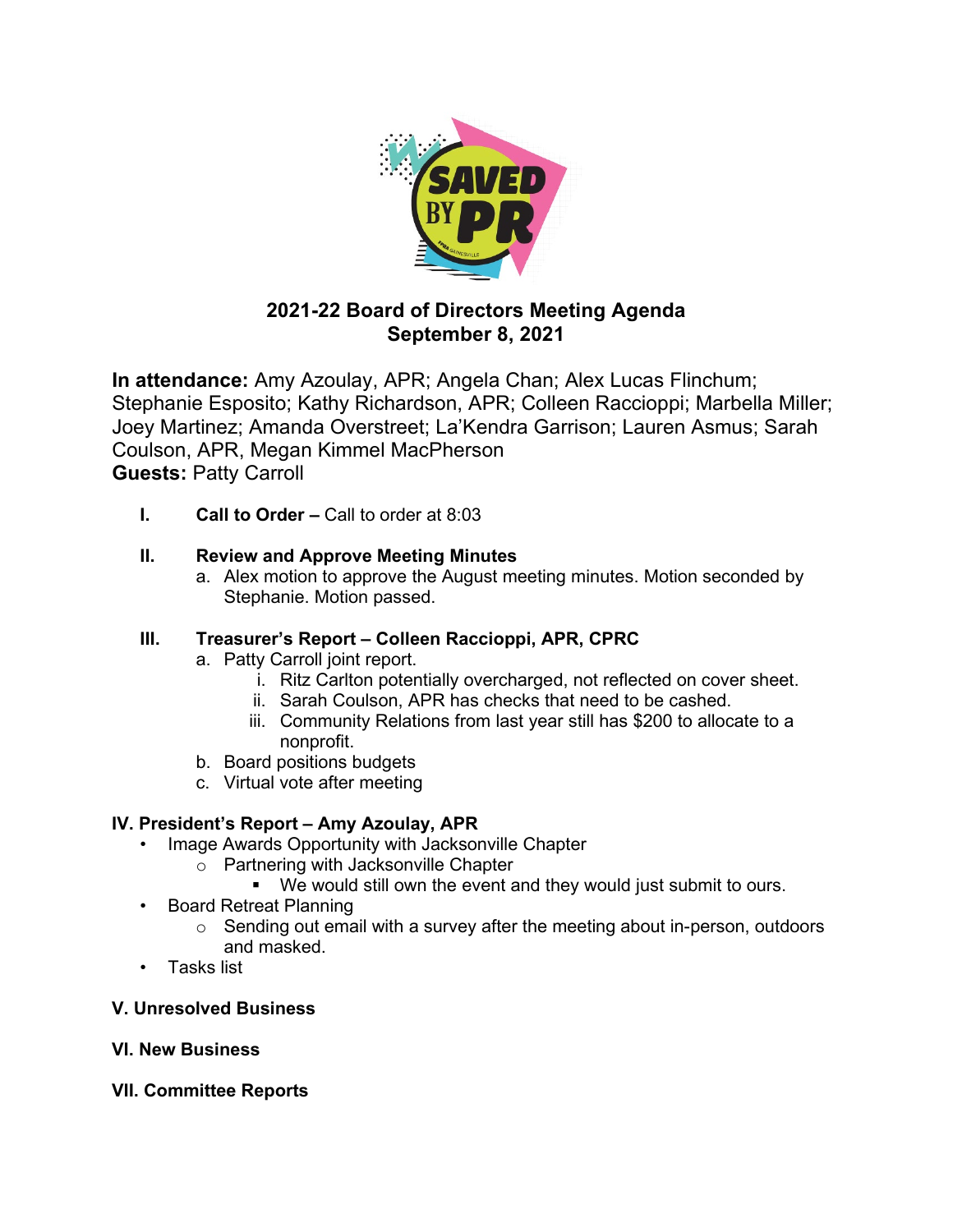

# **2021-22 Board of Directors Meeting Agenda September 8, 2021**

**In attendance:** Amy Azoulay, APR; Angela Chan; Alex Lucas Flinchum; Stephanie Esposito; Kathy Richardson, APR; Colleen Raccioppi; Marbella Miller; Joey Martinez; Amanda Overstreet; La'Kendra Garrison; Lauren Asmus; Sarah Coulson, APR, Megan Kimmel MacPherson **Guests:** Patty Carroll

**I. Call to Order –** Call to order at 8:03

## **II. Review and Approve Meeting Minutes**

a. Alex motion to approve the August meeting minutes. Motion seconded by Stephanie. Motion passed.

## **III. Treasurer's Report – Colleen Raccioppi, APR, CPRC**

- a. Patty Carroll joint report.
	- i. Ritz Carlton potentially overcharged, not reflected on cover sheet.
	- ii. Sarah Coulson, APR has checks that need to be cashed.
	- iii. Community Relations from last year still has \$200 to allocate to a nonprofit.
- b. Board positions budgets
- c. Virtual vote after meeting

## **IV. President's Report – Amy Azoulay, APR**

- Image Awards Opportunity with Jacksonville Chapter
	- o Partnering with Jacksonville Chapter
		- We would still own the event and they would just submit to ours.
- Board Retreat Planning
	- $\circ$  Sending out email with a survey after the meeting about in-person, outdoors and masked.
- Tasks list

## **V. Unresolved Business**

- **VI. New Business**
- **VII. Committee Reports**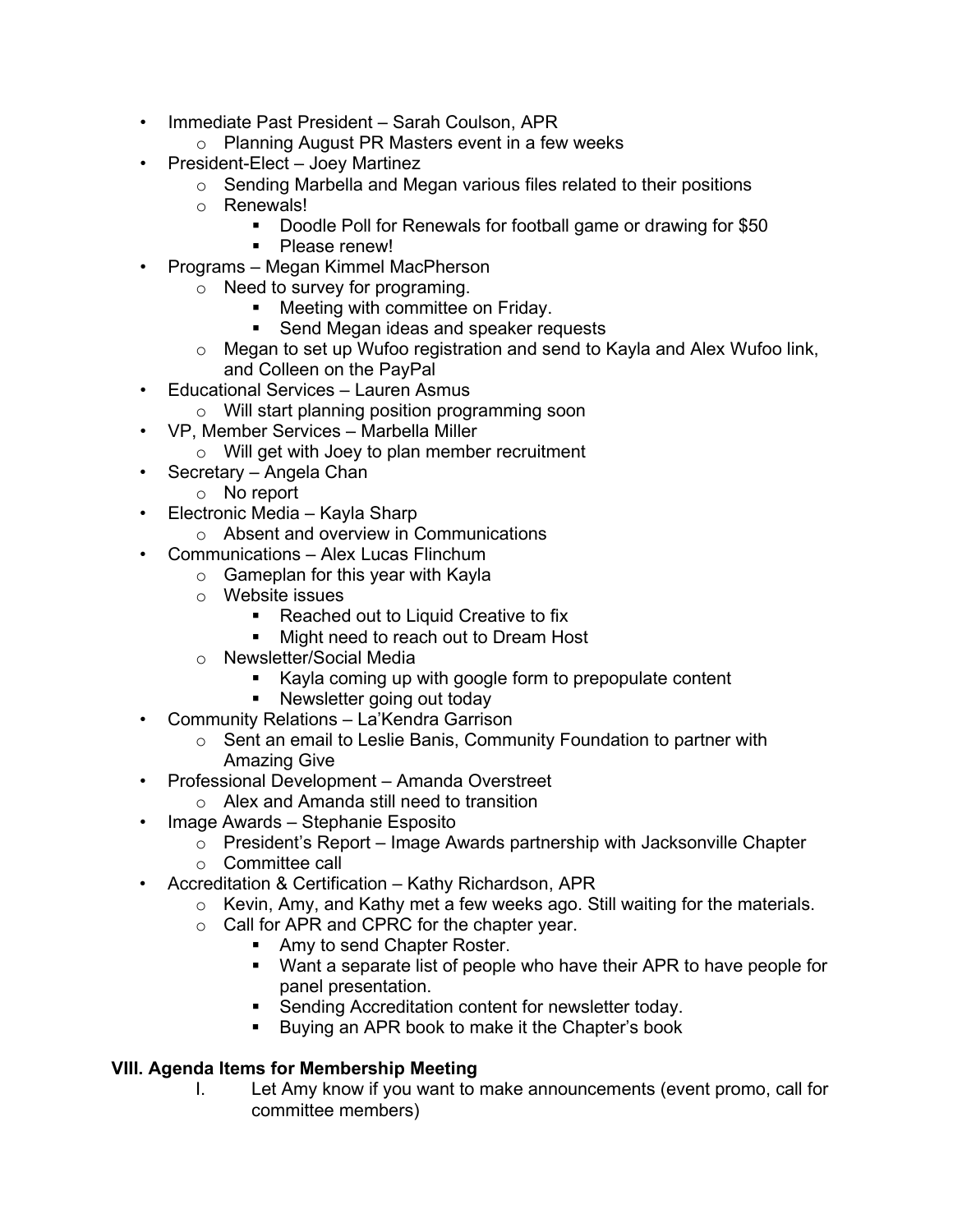- Immediate Past President Sarah Coulson, APR
	- o Planning August PR Masters event in a few weeks
- President-Elect Joey Martinez
	- o Sending Marbella and Megan various files related to their positions
	- o Renewals!
		- Doodle Poll for Renewals for football game or drawing for \$50
			- Please renew!
- Programs Megan Kimmel MacPherson
	- o Need to survey for programing.
		- **Meeting with committee on Friday.**
		- **Send Megan ideas and speaker requests**
	- o Megan to set up Wufoo registration and send to Kayla and Alex Wufoo link, and Colleen on the PayPal
- Educational Services Lauren Asmus
	- o Will start planning position programming soon
- VP, Member Services Marbella Miller
	- o Will get with Joey to plan member recruitment
- Secretary Angela Chan
	- o No report
- Electronic Media Kayla Sharp
	- o Absent and overview in Communications
- Communications Alex Lucas Flinchum
	- o Gameplan for this year with Kayla
	- o Website issues
		- **Reached out to Liquid Creative to fix**
		- **Might need to reach out to Dream Host**
	- o Newsletter/Social Media
		- Kayla coming up with google form to prepopulate content
		- **Newsletter going out today**
- Community Relations La'Kendra Garrison
	- o Sent an email to Leslie Banis, Community Foundation to partner with Amazing Give
- Professional Development Amanda Overstreet
	- o Alex and Amanda still need to transition
- Image Awards Stephanie Esposito
	- o President's Report Image Awards partnership with Jacksonville Chapter
	- o Committee call
- Accreditation & Certification Kathy Richardson, APR
	- o Kevin, Amy, and Kathy met a few weeks ago. Still waiting for the materials.
	- o Call for APR and CPRC for the chapter year.
		- Amy to send Chapter Roster.
		- **Want a separate list of people who have their APR to have people for** panel presentation.
		- **Sending Accreditation content for newsletter today.**
		- **Buying an APR book to make it the Chapter's book**

## **VIII. Agenda Items for Membership Meeting**

I. Let Amy know if you want to make announcements (event promo, call for committee members)